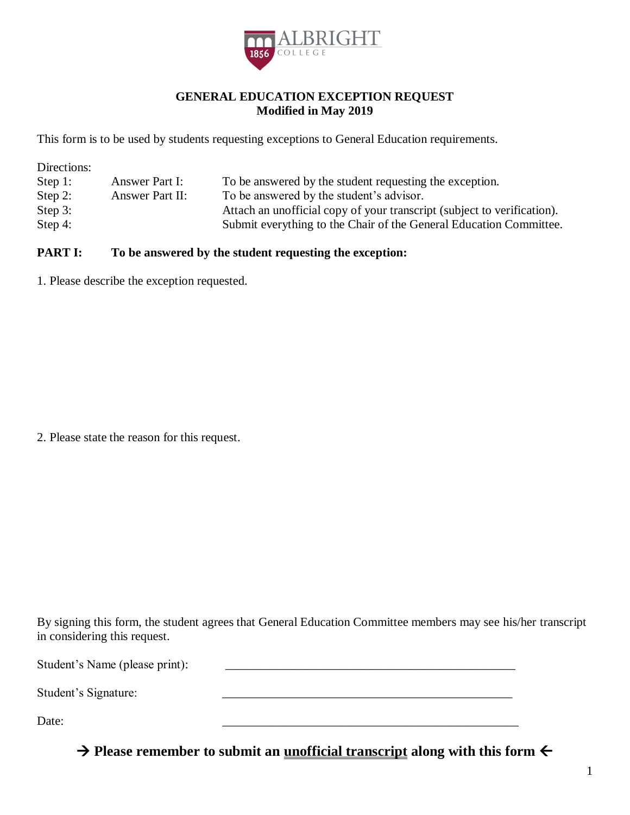

## **GENERAL EDUCATION EXCEPTION REQUEST Modified in May 2019**

This form is to be used by students requesting exceptions to General Education requirements.

Directions:

| Step 1:    | Answer Part I:  | To be answered by the student requesting the exception.                 |
|------------|-----------------|-------------------------------------------------------------------------|
| Step 2:    | Answer Part II: | To be answered by the student's advisor.                                |
| Step $3$ : |                 | Attach an unofficial copy of your transcript (subject to verification). |
| Step 4:    |                 | Submit everything to the Chair of the General Education Committee.      |

## **PART I:** To be answered by the student requesting the exception:

1. Please describe the exception requested.

2. Please state the reason for this request.

 By signing this form, the student agrees that General Education Committee members may see his/her transcript in considering this request.

Student's Name (please print): \_\_\_\_\_\_\_\_\_\_\_\_\_\_\_\_\_\_\_\_\_\_\_\_\_\_\_\_\_\_\_\_\_\_\_\_\_\_\_\_\_\_\_\_\_\_\_

Student's Signature: \_\_\_\_\_\_\_\_\_\_\_\_\_\_\_\_\_\_\_\_\_\_\_\_\_\_\_\_\_\_\_\_\_\_\_\_\_\_\_\_\_\_\_\_\_\_\_

Date: 2008. 2008. 2008. 2008. 2008. 2008. 2008. 2008. 2008. 2009. 2008. 2009. 2009. 2009. 2009. 2009. 2009. 20

 **→ Please remember to submit an <u>unofficial transcript</u> along with this form ←**